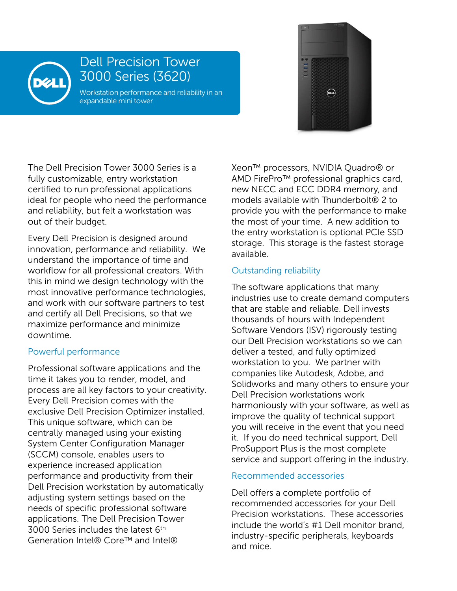

## Dell Precision Tower 3000 Series (3620)

Workstation performance and reliability in an expandable mini tower



The Dell Precision Tower 3000 Series is a fully customizable, entry workstation certified to run professional applications ideal for people who need the performance and reliability, but felt a workstation was out of their budget.

Every Dell Precision is designed around innovation, performance and reliability. We understand the importance of time and workflow for all professional creators. With this in mind we design technology with the most innovative performance technologies, and work with our software partners to test and certify all Dell Precisions, so that we maximize performance and minimize downtime.

## Powerful performance

Professional software applications and the time it takes you to render, model, and process are all key factors to your creativity. Every Dell Precision comes with the exclusive Dell Precision Optimizer installed. This unique software, which can be centrally managed using your existing System Center Configuration Manager (SCCM) console, enables users to experience increased application performance and productivity from their Dell Precision workstation by automatically adjusting system settings based on the needs of specific professional software applications. The Dell Precision Tower 3000 Series includes the latest 6<sup>th</sup> Generation Intel® Core™ and Intel®

Xeon™ processors, NVIDIA Quadro® or AMD FirePro™ professional graphics card, new NECC and ECC DDR4 memory, and models available with Thunderbolt® 2 to provide you with the performance to make the most of your time. A new addition to the entry workstation is optional PCIe SSD storage. This storage is the fastest storage available.

## Outstanding reliability

The software applications that many industries use to create demand computers that are stable and reliable. Dell invests thousands of hours with Independent Software Vendors (ISV) rigorously testing our Dell Precision workstations so we can deliver a tested, and fully optimized workstation to you. We partner with companies like Autodesk, Adobe, and Solidworks and many others to ensure your Dell Precision workstations work harmoniously with your software, as well as improve the quality of technical support you will receive in the event that you need it. If you do need technical support, Dell ProSupport Plus is the most complete service and support offering in the industry.

## Recommended accessories

Dell offers a complete portfolio of recommended accessories for your Dell Precision workstations. These accessories include the world's #1 Dell monitor brand, industry-specific peripherals, keyboards and mice.